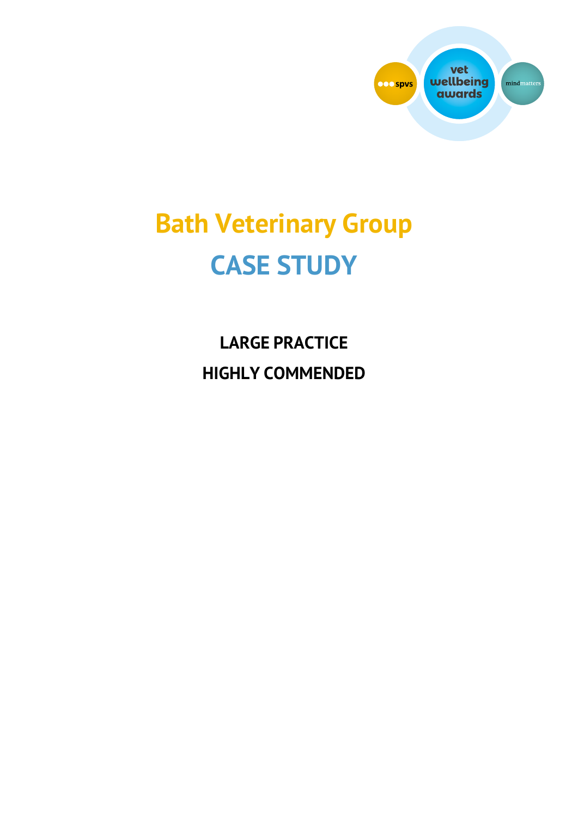

# **Bath Veterinary Group CASE STUDY**

**LARGE PRACTICE HIGHLY COMMENDED**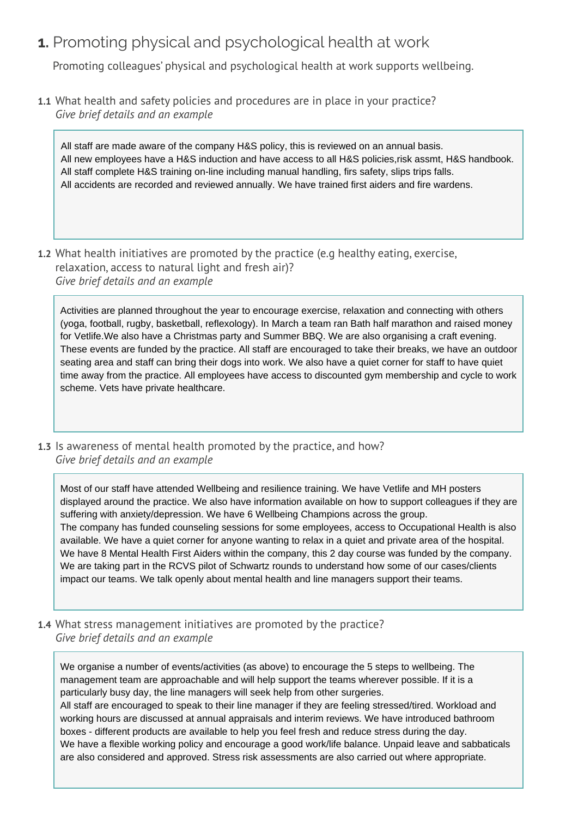# **1.** Promoting physical and psychological health at work

Promoting colleagues' physical and psychological health at work supports wellbeing.

**1.1** What health and safety policies and procedures are in place in your practice? *Give brief details and an example* 

All staff are made aware of the company H&S policy, this is reviewed on an annual basis. All new employees have a H&S induction and have access to all H&S policies,risk assmt, H&S handbook. All staff complete H&S training on-line including manual handling, firs safety, slips trips falls. All accidents are recorded and reviewed annually. We have trained first aiders and fire wardens.

**1.2** What health initiatives are promoted by the practice (e.g healthy eating, exercise, relaxation, access to natural light and fresh air)? *Give brief details and an example* 

Activities are planned throughout the year to encourage exercise, relaxation and connecting with others (yoga, football, rugby, basketball, reflexology). In March a team ran Bath half marathon and raised money for Vetlife.We also have a Christmas party and Summer BBQ. We are also organising a craft evening. These events are funded by the practice. All staff are encouraged to take their breaks, we have an outdoor seating area and staff can bring their dogs into work. We also have a quiet corner for staff to have quiet time away from the practice. All employees have access to discounted gym membership and cycle to work scheme. Vets have private healthcare.

**1.3** Is awareness of mental health promoted by the practice, and how? *Give brief details and an example* 

Most of our staff have attended Wellbeing and resilience training. We have Vetlife and MH posters displayed around the practice. We also have information available on how to support colleagues if they are suffering with anxiety/depression. We have 6 Wellbeing Champions across the group. The company has funded counseling sessions for some employees, access to Occupational Health is also available. We have a quiet corner for anyone wanting to relax in a quiet and private area of the hospital. We have 8 Mental Health First Aiders within the company, this 2 day course was funded by the company. We are taking part in the RCVS pilot of Schwartz rounds to understand how some of our cases/clients impact our teams. We talk openly about mental health and line managers support their teams.

**1.4** What stress management initiatives are promoted by the practice? *Give brief details and an example* 

We organise a number of events/activities (as above) to encourage the 5 steps to wellbeing. The management team are approachable and will help support the teams wherever possible. If it is a particularly busy day, the line managers will seek help from other surgeries.

All staff are encouraged to speak to their line manager if they are feeling stressed/tired. Workload and working hours are discussed at annual appraisals and interim reviews. We have introduced bathroom boxes - different products are available to help you feel fresh and reduce stress during the day. We have a flexible working policy and encourage a good work/life balance. Unpaid leave and sabbaticals are also considered and approved. Stress risk assessments are also carried out where appropriate.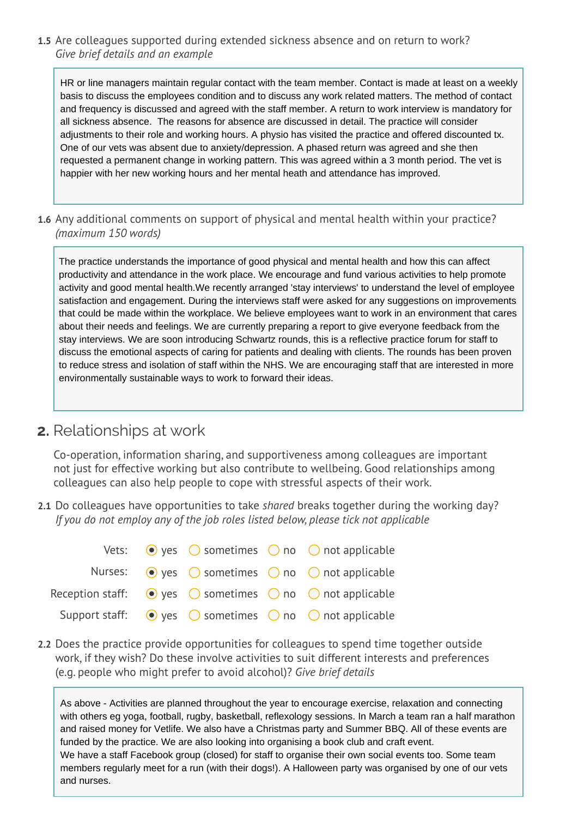**1.5** Are colleagues supported during extended sickness absence and on return to work? *Give brief details and an example* 

HR or line managers maintain regular contact with the team member. Contact is made at least on a weekly basis to discuss the employees condition and to discuss any work related matters. The method of contact and frequency is discussed and agreed with the staff member. A return to work interview is mandatory for all sickness absence. The reasons for absence are discussed in detail. The practice will consider adjustments to their role and working hours. A physio has visited the practice and offered discounted tx. One of our vets was absent due to anxiety/depression. A phased return was agreed and she then requested a permanent change in working pattern. This was agreed within a 3 month period. The vet is happier with her new working hours and her mental heath and attendance has improved.

**1.6** Any additional comments on support of physical and mental health within your practice? *(maximum 150 words)* 

The practice understands the importance of good physical and mental health and how this can affect productivity and attendance in the work place. We encourage and fund various activities to help promote activity and good mental health.We recently arranged 'stay interviews' to understand the level of employee satisfaction and engagement. During the interviews staff were asked for any suggestions on improvements that could be made within the workplace. We believe employees want to work in an environment that cares about their needs and feelings. We are currently preparing a report to give everyone feedback from the stay interviews. We are soon introducing Schwartz rounds, this is a reflective practice forum for staff to discuss the emotional aspects of caring for patients and dealing with clients. The rounds has been proven to reduce stress and isolation of staff within the NHS. We are encouraging staff that are interested in more environmentally sustainable ways to work to forward their ideas.

### **2.** Relationships at work

Co-operation, information sharing, and supportiveness among colleagues are important not just for effective working but also contribute to wellbeing. Good relationships among colleagues can also help people to cope with stressful aspects of their work.

**2.1** Do colleagues have opportunities to take *shared* breaks together during the working day? *If you do not employ any of the job roles listed below, please tick not applicable* 

|  |  | Vets: $\bullet$ yes $\circ$ sometimes $\circ$ no $\circ$ not applicable                      |
|--|--|----------------------------------------------------------------------------------------------|
|  |  | Nurses: $\odot$ yes $\odot$ sometimes $\odot$ no $\odot$ not applicable                      |
|  |  | Reception staff: $\bigcirc$ yes $\bigcirc$ sometimes $\bigcirc$ no $\bigcirc$ not applicable |
|  |  | Support staff: $\bigcirc$ yes $\bigcirc$ sometimes $\bigcirc$ no $\bigcirc$ not applicable   |

**2.2** Does the practice provide opportunities for colleagues to spend time together outside work, if they wish? Do these involve activities to suit different interests and preferences (e.g. people who might prefer to avoid alcohol)? *Give brief details*

As above - Activities are planned throughout the year to encourage exercise, relaxation and connecting with others eg yoga, football, rugby, basketball, reflexology sessions. In March a team ran a half marathon and raised money for Vetlife. We also have a Christmas party and Summer BBQ. All of these events are funded by the practice. We are also looking into organising a book club and craft event. We have a staff Facebook group (closed) for staff to organise their own social events too. Some team members regularly meet for a run (with their dogs!). A Halloween party was organised by one of our vets and nurses.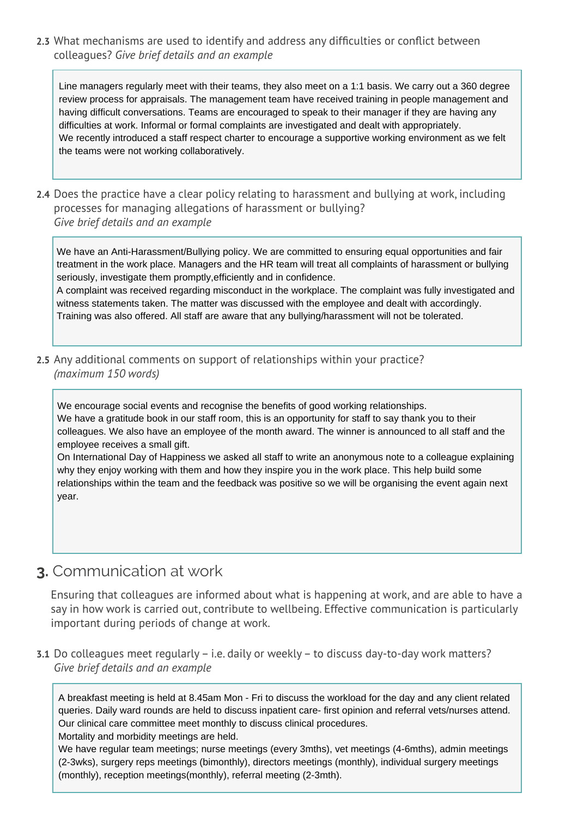**2.3** What mechanisms are used to identify and address any difficulties or conflict between colleagues? *Give brief details and an example* 

Line managers regularly meet with their teams, they also meet on a 1:1 basis. We carry out a 360 degree review process for appraisals. The management team have received training in people management and having difficult conversations. Teams are encouraged to speak to their manager if they are having any difficulties at work. Informal or formal complaints are investigated and dealt with appropriately. We recently introduced a staff respect charter to encourage a supportive working environment as we felt the teams were not working collaboratively.

**2.4** Does the practice have a clear policy relating to harassment and bullying at work, including processes for managing allegations of harassment or bullying? *Give brief details and an example* 

We have an Anti-Harassment/Bullying policy. We are committed to ensuring equal opportunities and fair treatment in the work place. Managers and the HR team will treat all complaints of harassment or bullying seriously, investigate them promptly,efficiently and in confidence.

A complaint was received regarding misconduct in the workplace. The complaint was fully investigated and witness statements taken. The matter was discussed with the employee and dealt with accordingly. Training was also offered. All staff are aware that any bullying/harassment will not be tolerated.

**2.5** Any additional comments on support of relationships within your practice? *(maximum 150 words)*

We encourage social events and recognise the benefits of good working relationships. We have a gratitude book in our staff room, this is an opportunity for staff to say thank you to their colleagues. We also have an employee of the month award. The winner is announced to all staff and the employee receives a small gift.

On International Day of Happiness we asked all staff to write an anonymous note to a colleague explaining why they enjoy working with them and how they inspire you in the work place. This help build some relationships within the team and the feedback was positive so we will be organising the event again next year.

### **3.** Communication at work

Ensuring that colleagues are informed about what is happening at work, and are able to have a say in how work is carried out, contribute to wellbeing. Effective communication is particularly important during periods of change at work.

**3.1** Do colleagues meet regularly – i.e. daily or weekly – to discuss day-to-day work matters? *Give brief details and an example* 

A breakfast meeting is held at 8.45am Mon - Fri to discuss the workload for the day and any client related queries. Daily ward rounds are held to discuss inpatient care- first opinion and referral vets/nurses attend. Our clinical care committee meet monthly to discuss clinical procedures.

Mortality and morbidity meetings are held.

We have regular team meetings; nurse meetings (every 3mths), vet meetings (4-6mths), admin meetings (2-3wks), surgery reps meetings (bimonthly), directors meetings (monthly), individual surgery meetings (monthly), reception meetings(monthly), referral meeting (2-3mth).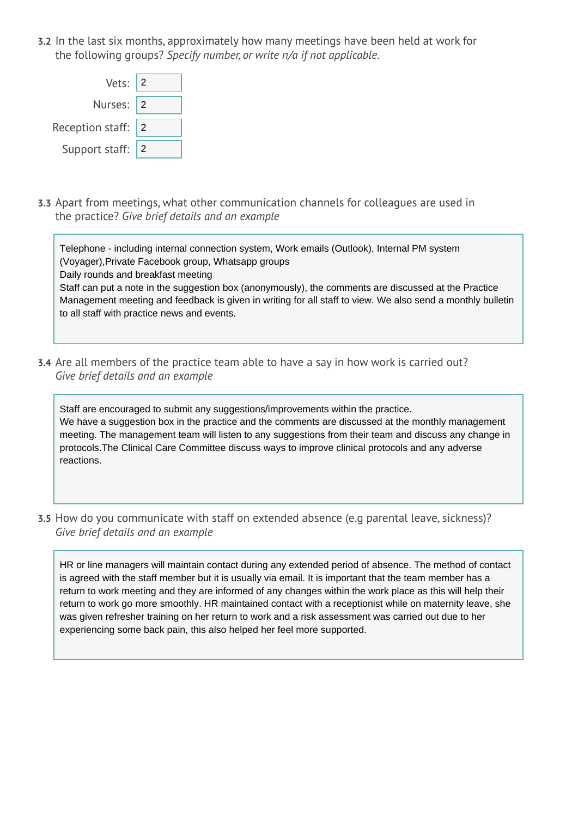**3.2** In the last six months, approximately how many meetings have been held at work for the following groups? *Specify number, or write n/a if not applicable.*

| Vets: $ 2$             |  |
|------------------------|--|
| Nurses: 2              |  |
| Reception staff: $ 2 $ |  |
| Support staff: 2       |  |

**3.3** Apart from meetings, what other communication channels for colleagues are used in the practice? *Give brief details and an example* 

Telephone - including internal connection system, Work emails (Outlook), Internal PM system (Voyager),Private Facebook group, Whatsapp groups Daily rounds and breakfast meeting Staff can put a note in the suggestion box (anonymously), the comments are discussed at the Practice Management meeting and feedback is given in writing for all staff to view. We also send a monthly bulletin to all staff with practice news and events.

**3.4** Are all members of the practice team able to have a say in how work is carried out? *Give brief details and an example* 

Staff are encouraged to submit any suggestions/improvements within the practice. We have a suggestion box in the practice and the comments are discussed at the monthly management meeting. The management team will listen to any suggestions from their team and discuss any change in protocols.The Clinical Care Committee discuss ways to improve clinical protocols and any adverse reactions.

**3.5** How do you communicate with staff on extended absence (e.g parental leave, sickness)? *Give brief details and an example* 

HR or line managers will maintain contact during any extended period of absence. The method of contact is agreed with the staff member but it is usually via email. It is important that the team member has a return to work meeting and they are informed of any changes within the work place as this will help their return to work go more smoothly. HR maintained contact with a receptionist while on maternity leave, she was given refresher training on her return to work and a risk assessment was carried out due to her experiencing some back pain, this also helped her feel more supported.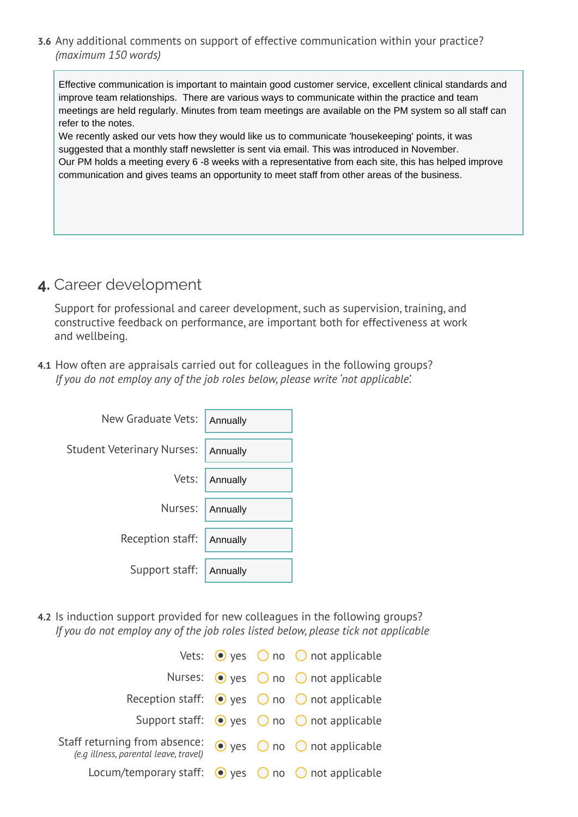**3.6** Any additional comments on support of effective communication within your practice? *(maximum 150 words)*

Effective communication is important to maintain good customer service, excellent clinical standards and improve team relationships. There are various ways to communicate within the practice and team meetings are held regularly. Minutes from team meetings are available on the PM system so all staff can refer to the notes.

We recently asked our vets how they would like us to communicate 'housekeeping' points, it was suggested that a monthly staff newsletter is sent via email. This was introduced in November. Our PM holds a meeting every 6 -8 weeks with a representative from each site, this has helped improve communication and gives teams an opportunity to meet staff from other areas of the business.

# **4.** Career development

Support for professional and career development, such as supervision, training, and constructive feedback on performance, are important both for effectiveness at work and wellbeing.

**4.1** How often are appraisals carried out for colleagues in the following groups? *If you do not employ any of the job roles below, please write 'not applicable'.*

| New Graduate Vets:                | Annually |
|-----------------------------------|----------|
| <b>Student Veterinary Nurses:</b> | Annually |
| Vets:                             | Annually |
| Nurses:                           | Annually |
| Reception staff:                  | Annually |
| Support staff:                    | Annually |

**4.2** Is induction support provided for new colleagues in the following groups? *If you do not employ any of the job roles listed below, please tick not applicable* 

|                                                                        |  | Vets: $\bullet$ yes $\circ$ no $\circ$ not applicable            |
|------------------------------------------------------------------------|--|------------------------------------------------------------------|
|                                                                        |  | Nurses: $\odot$ yes $\odot$ no $\odot$ not applicable            |
|                                                                        |  | Reception staff: $\bullet$ yes $\circ$ no $\circ$ not applicable |
|                                                                        |  | Support staff: $\bullet$ yes $\circ$ no $\circ$ not applicable   |
| Staff returning from absence:<br>(e.g illness, parental leave, travel) |  | $\bullet$ yes $\circledcirc$ no $\circledcirc$ not applicable    |
| Locum/temporary staff: $\bullet$ yes $\circ$ no $\circ$ not applicable |  |                                                                  |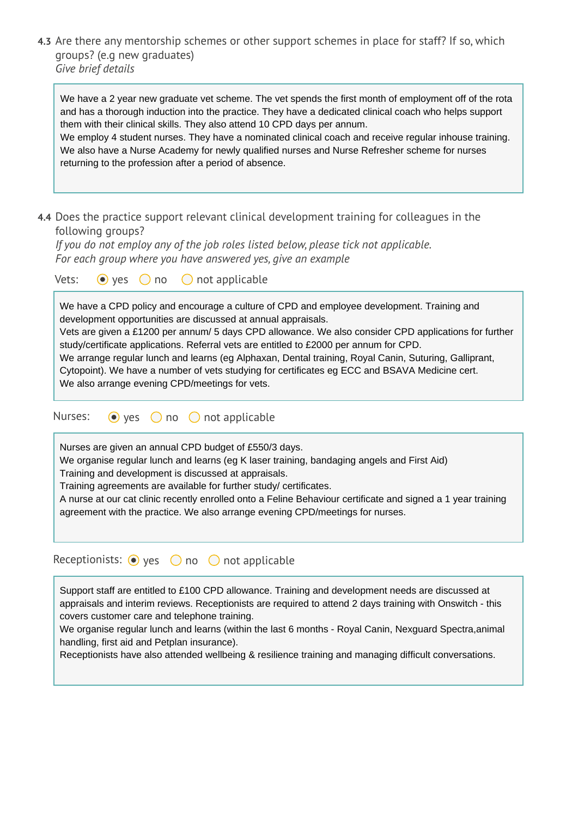**4.3** Are there any mentorship schemes or other support schemes in place for staff? If so, which groups? (e.g new graduates) *Give brief details*

| We have a 2 year new graduate vet scheme. The vet spends the first month of employment off of the rota |
|--------------------------------------------------------------------------------------------------------|
| and has a thorough induction into the practice. They have a dedicated clinical coach who helps support |
| them with their clinical skills. They also attend 10 CPD days per annum.                               |

We employ 4 student nurses. They have a nominated clinical coach and receive regular inhouse training. We also have a Nurse Academy for newly qualified nurses and Nurse Refresher scheme for nurses returning to the profession after a period of absence.

**4.4** Does the practice support relevant clinical development training for colleagues in the following groups?

*If you do not employ any of the job roles listed below, please tick not applicable. For each group where you have answered yes, give an example* 

Vets:  $\odot$  yes  $\odot$  no  $\odot$  not applicable

We have a CPD policy and encourage a culture of CPD and employee development. Training and development opportunities are discussed at annual appraisals. Vets are given a £1200 per annum/ 5 days CPD allowance. We also consider CPD applications for further study/certificate applications. Referral vets are entitled to £2000 per annum for CPD. We arrange regular lunch and learns (eg Alphaxan, Dental training, Royal Canin, Suturing, Galliprant, Cytopoint). We have a number of vets studying for certificates eg ECC and BSAVA Medicine cert.

We also arrange evening CPD/meetings for vets.

```
Nurses: \odot yes \odot no \odot not applicable
```
Nurses are given an annual CPD budget of £550/3 days.

We organise regular lunch and learns (eg K laser training, bandaging angels and First Aid)

Training and development is discussed at appraisals.

Training agreements are available for further study/ certificates.

A nurse at our cat clinic recently enrolled onto a Feline Behaviour certificate and signed a 1 year training agreement with the practice. We also arrange evening CPD/meetings for nurses.

Receptionists:  $\odot$  yes  $\odot$  no  $\odot$  not applicable

Support staff are entitled to £100 CPD allowance. Training and development needs are discussed at appraisals and interim reviews. Receptionists are required to attend 2 days training with Onswitch - this covers customer care and telephone training.

We organise regular lunch and learns (within the last 6 months - Royal Canin, Nexguard Spectra,animal handling, first aid and Petplan insurance).

Receptionists have also attended wellbeing & resilience training and managing difficult conversations.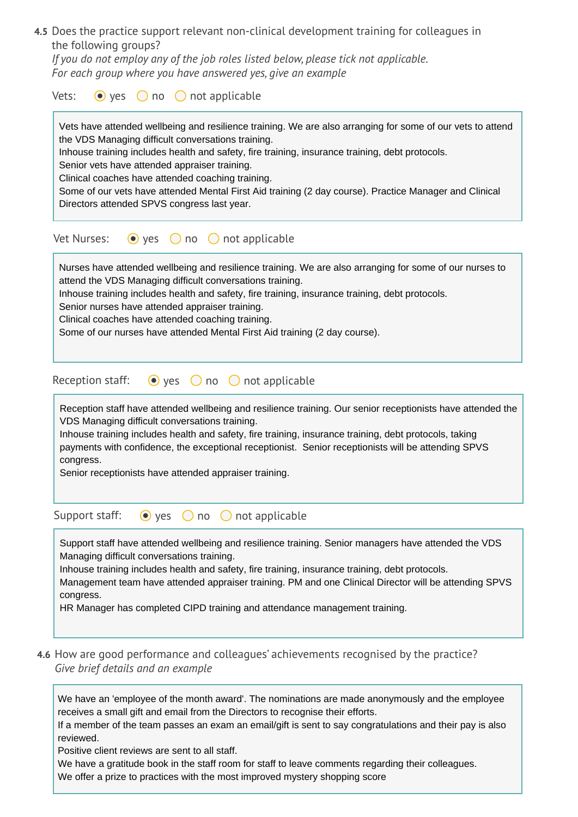**4.5** Does the practice support relevant non-clinical development training for colleagues in the following groups?

*If you do not employ any of the job roles listed below, please tick not applicable. For each group where you have answered yes, give an example* 

| Vets:<br>$\bullet$ yes $\circ$ no $\circ$ not applicable                                                                                                                                                                                                                                                                                                                                                                                                                                                                           |
|------------------------------------------------------------------------------------------------------------------------------------------------------------------------------------------------------------------------------------------------------------------------------------------------------------------------------------------------------------------------------------------------------------------------------------------------------------------------------------------------------------------------------------|
| Vets have attended wellbeing and resilience training. We are also arranging for some of our vets to attend<br>the VDS Managing difficult conversations training.<br>Inhouse training includes health and safety, fire training, insurance training, debt protocols.<br>Senior vets have attended appraiser training.<br>Clinical coaches have attended coaching training.<br>Some of our vets have attended Mental First Aid training (2 day course). Practice Manager and Clinical<br>Directors attended SPVS congress last year. |
| Vet Nurses:<br>$\bullet$ yes $\circ$ no $\circ$ not applicable                                                                                                                                                                                                                                                                                                                                                                                                                                                                     |
| Nurses have attended wellbeing and resilience training. We are also arranging for some of our nurses to<br>attend the VDS Managing difficult conversations training.<br>Inhouse training includes health and safety, fire training, insurance training, debt protocols.<br>Senior nurses have attended appraiser training.<br>Clinical coaches have attended coaching training.<br>Some of our nurses have attended Mental First Aid training (2 day course).                                                                      |
| Reception staff:<br>$\bullet$ yes $\circ$ no $\circ$ not applicable                                                                                                                                                                                                                                                                                                                                                                                                                                                                |
| Reception staff have attended wellbeing and resilience training. Our senior receptionists have attended the<br>VDS Managing difficult conversations training.<br>Inhouse training includes health and safety, fire training, insurance training, debt protocols, taking<br>payments with confidence, the exceptional receptionist. Senior receptionists will be attending SPVS<br>congress.<br>Senior receptionists have attended appraiser training.                                                                              |
| $\bullet$ yes<br>Support staff:<br>not applicable<br>no<br>$\left( \quad \right)$                                                                                                                                                                                                                                                                                                                                                                                                                                                  |
| Support staff have attended wellbeing and resilience training. Senior managers have attended the VDS<br>Managing difficult conversations training.<br>Inhouse training includes health and safety, fire training, insurance training, debt protocols.<br>Management team have attended appraiser training. PM and one Clinical Director will be attending SPVS<br>congress.<br>HR Manager has completed CIPD training and attendance management training.                                                                          |

**4.6** How are good performance and colleagues' achievements recognised by the practice? *Give brief details and an example* 

We have an 'employee of the month award'. The nominations are made anonymously and the employee receives a small gift and email from the Directors to recognise their efforts.

If a member of the team passes an exam an email/gift is sent to say congratulations and their pay is also reviewed.

Positive client reviews are sent to all staff.

We have a gratitude book in the staff room for staff to leave comments regarding their colleagues. We offer a prize to practices with the most improved mystery shopping score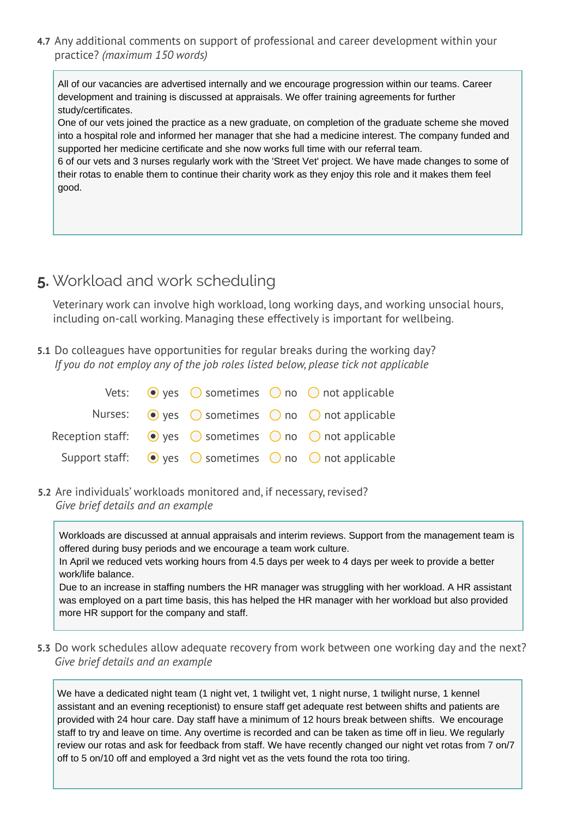**4.7** Any additional comments on support of professional and career development within your practice? *(maximum 150 words)*

All of our vacancies are advertised internally and we encourage progression within our teams. Career development and training is discussed at appraisals. We offer training agreements for further study/certificates.

One of our vets joined the practice as a new graduate, on completion of the graduate scheme she moved into a hospital role and informed her manager that she had a medicine interest. The company funded and supported her medicine certificate and she now works full time with our referral team.

6 of our vets and 3 nurses regularly work with the 'Street Vet' project. We have made changes to some of their rotas to enable them to continue their charity work as they enjoy this role and it makes them feel good.

# **5.** Workload and work scheduling

Veterinary work can involve high workload, long working days, and working unsocial hours, including on-call working. Managing these effectively is important for wellbeing.

**5.1** Do colleagues have opportunities for regular breaks during the working day? *If you do not employ any of the job roles listed below, please tick not applicable* 

|  |  | Vets: $\bullet$ yes $\circ$ sometimes $\circ$ no $\circ$ not applicable                      |
|--|--|----------------------------------------------------------------------------------------------|
|  |  | Nurses: $\odot$ yes $\odot$ sometimes $\odot$ no $\odot$ not applicable                      |
|  |  | Reception staff: $\bigcirc$ yes $\bigcirc$ sometimes $\bigcirc$ no $\bigcirc$ not applicable |
|  |  | Support staff: $\bullet$ yes $\circ$ sometimes $\circ$ no $\circ$ not applicable             |

**5.2** Are individuals' workloads monitored and, if necessary, revised? *Give brief details and an example* 

Workloads are discussed at annual appraisals and interim reviews. Support from the management team is offered during busy periods and we encourage a team work culture.

In April we reduced vets working hours from 4.5 days per week to 4 days per week to provide a better work/life balance.

Due to an increase in staffing numbers the HR manager was struggling with her workload. A HR assistant was employed on a part time basis, this has helped the HR manager with her workload but also provided more HR support for the company and staff.

**5.3** Do work schedules allow adequate recovery from work between one working day and the next? *Give brief details and an example* 

We have a dedicated night team (1 night vet, 1 twilight vet, 1 night nurse, 1 twilight nurse, 1 kennel assistant and an evening receptionist) to ensure staff get adequate rest between shifts and patients are provided with 24 hour care. Day staff have a minimum of 12 hours break between shifts. We encourage staff to try and leave on time. Any overtime is recorded and can be taken as time off in lieu. We regularly review our rotas and ask for feedback from staff. We have recently changed our night vet rotas from 7 on/7 off to 5 on/10 off and employed a 3rd night vet as the vets found the rota too tiring.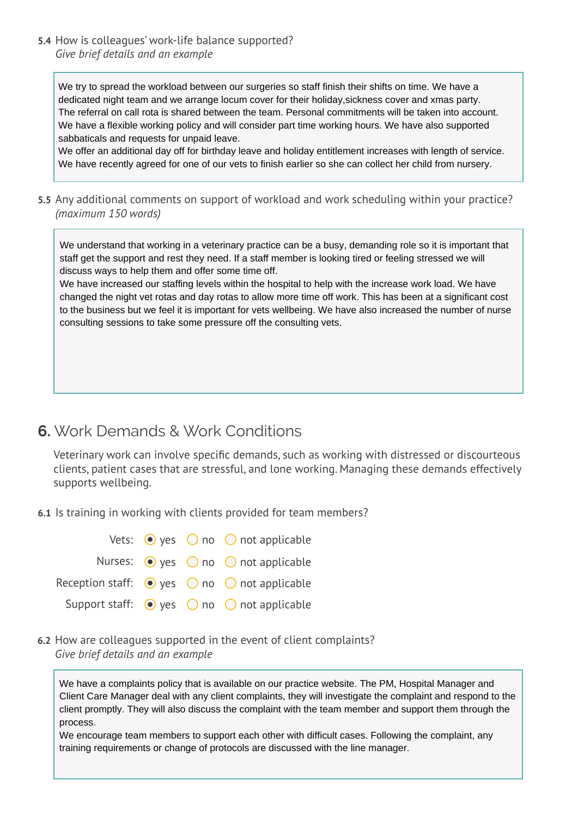**5.4** How is colleagues' work-life balance supported? *Give brief details and an example* 

We try to spread the workload between our surgeries so staff finish their shifts on time. We have a dedicated night team and we arrange locum cover for their holiday,sickness cover and xmas party. The referral on call rota is shared between the team. Personal commitments will be taken into account. We have a flexible working policy and will consider part time working hours. We have also supported sabbaticals and requests for unpaid leave.

We offer an additional day off for birthday leave and holiday entitlement increases with length of service. We have recently agreed for one of our vets to finish earlier so she can collect her child from nursery.

**5.5** Any additional comments on support of workload and work scheduling within your practice? *(maximum 150 words)*

We understand that working in a veterinary practice can be a busy, demanding role so it is important that staff get the support and rest they need. If a staff member is looking tired or feeling stressed we will discuss ways to help them and offer some time off.

We have increased our staffing levels within the hospital to help with the increase work load. We have changed the night vet rotas and day rotas to allow more time off work. This has been at a significant cost to the business but we feel it is important for vets wellbeing. We have also increased the number of nurse consulting sessions to take some pressure off the consulting vets.

### **6.** Work Demands & Work Conditions

Veterinary work can involve specific demands, such as working with distressed or discourteous clients, patient cases that are stressful, and lone working. Managing these demands effectively supports wellbeing.

**6.1** Is training in working with clients provided for team members?

|  | Vets: $\bullet$ yes $\circ$ no $\circ$ not applicable            |
|--|------------------------------------------------------------------|
|  | Nurses: $\odot$ yes $\odot$ no $\odot$ not applicable            |
|  | Reception staff: $\bullet$ yes $\circ$ no $\circ$ not applicable |
|  | Support staff: $\bullet$ yes $\circ$ no $\circ$ not applicable   |

**6.2** How are colleagues supported in the event of client complaints? *Give brief details and an example* 

We have a complaints policy that is available on our practice website. The PM, Hospital Manager and Client Care Manager deal with any client complaints, they will investigate the complaint and respond to the client promptly. They will also discuss the complaint with the team member and support them through the process.

We encourage team members to support each other with difficult cases. Following the complaint, any training requirements or change of protocols are discussed with the line manager.